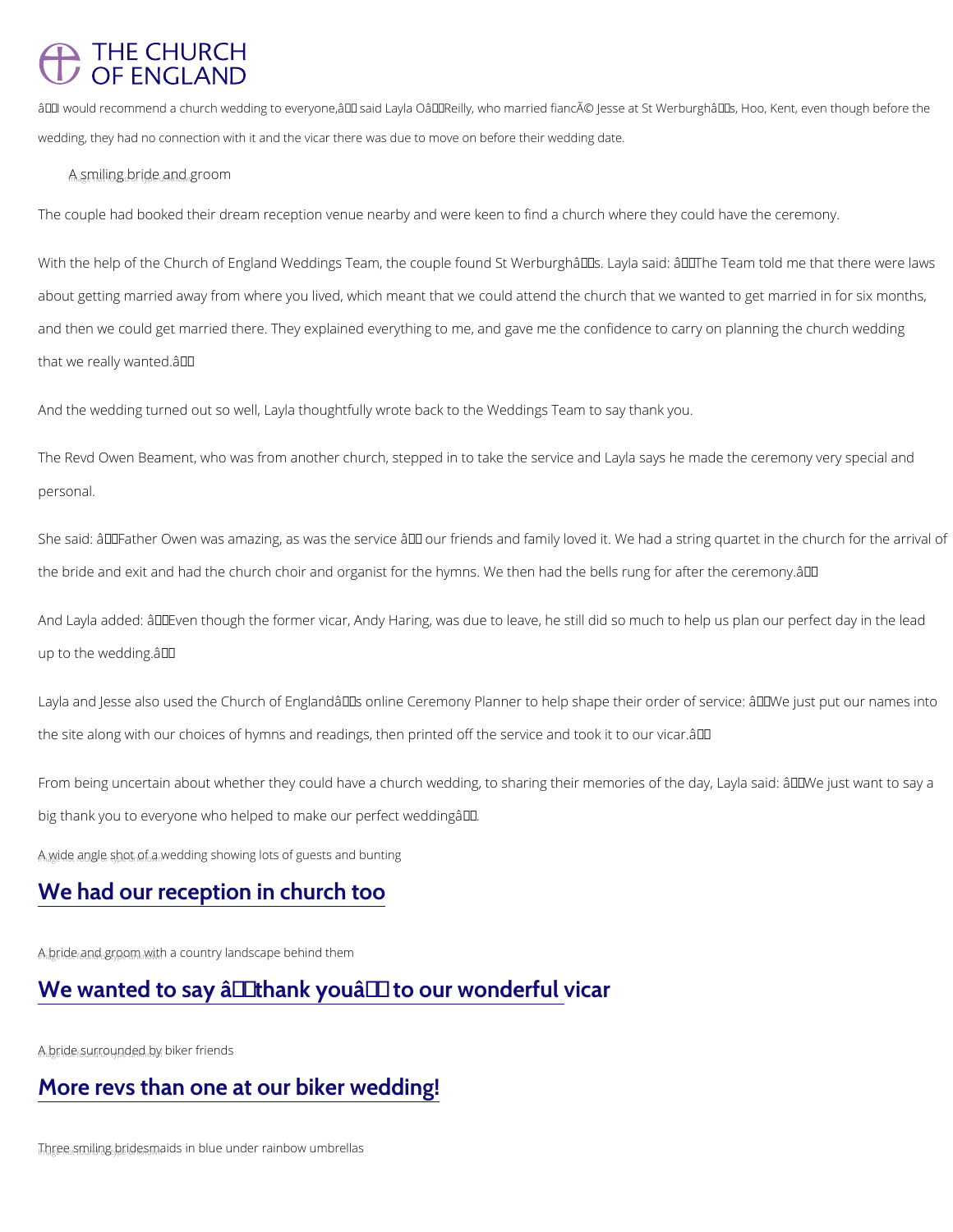#### THE CHURCH OF ENGLAND

"l would recommend a church wedding to everyone,― said Layla O'Reilly, who married fiancé J wedding, they had no connection with it and the vicar there was due to move on before their wedding dat

 $A_a$  s m $J_t$ ling  $g_t$  bride  $f_t$  and  $g$  room

The couple had booked their dream reception venue nearby and were keen to find a church w

With the help of the Church of England Weddings Team, the couple found St Werburghâ $\epsilon^{T M}$ s. about getting married away from where you lived, which meant that we could attend the churd and then we could get married there. They explained everything to me, and gave me the conf that we really wanted.  $\hat{a} \in \bullet$ 

And the wedding turned out so well, Layla thoughtfully wrote back to the Weddings Team to s

The Revd Owen Beament, who was from another church, stepped in to take the service and La personal.

She said:  $\hat{a} \in \infty$  Father Owen was amazing, as was the service  $\hat{a} \in ``$  our friends and family loved the bride and exit and had the church choir and organist for the hymns. We then had the bell

And Layla added:  $\hat{a} \in \infty$  Even though the former vicar, Andy Haring, was due to leave, he still d up to the wedding.  $\hat{a} \in \bullet$ 

Layla and Jesse also used the Church of England's online Ceremony Planner to help shap the site along with our choices of hymns and readings, then printed off the service and took

From being uncertain about whether they could have a church wedding, to sharing their memor big thank you to everyone who helped to make our perfect weddingâ $\epsilon$ .

 $A_{n}$  a  $W_{e}$  ide  $f$  angle  $f$  and  $\delta_{h}$  a wedding showing lots of guests and bunting

#### [We had our reception in church too](/life-events/your-church-wedding/real-weddings/we-had-our-reception-church-too)

 $A_{\rm n}$  and  $f_{\rm n}$  inder and  $g_{\rm n}$  and  $g_{\rm n}$  and  $f_{\rm n}$  and  $f_{\rm n}$  and  $f_{\rm n}$  and  $f_{\rm n}$  in the m

We wanted to say  $\hat{a} \in \tilde{a}$  thank you  $\hat{a} \in \tilde{a}$  to our wonderful vic

 $A_n$  abe indersurres out found by the surface of the not strate in the not strate in the not strate units  $P_n$  aber friends

#### [More revs than one at our biker wedding!](/life-events/your-church-wedding/real-weddings/more-revs-one-our-biker-wedding)

 $T_n$ bee smiling b<sub>e</sub>rides maids in blue under rainbow umbrellas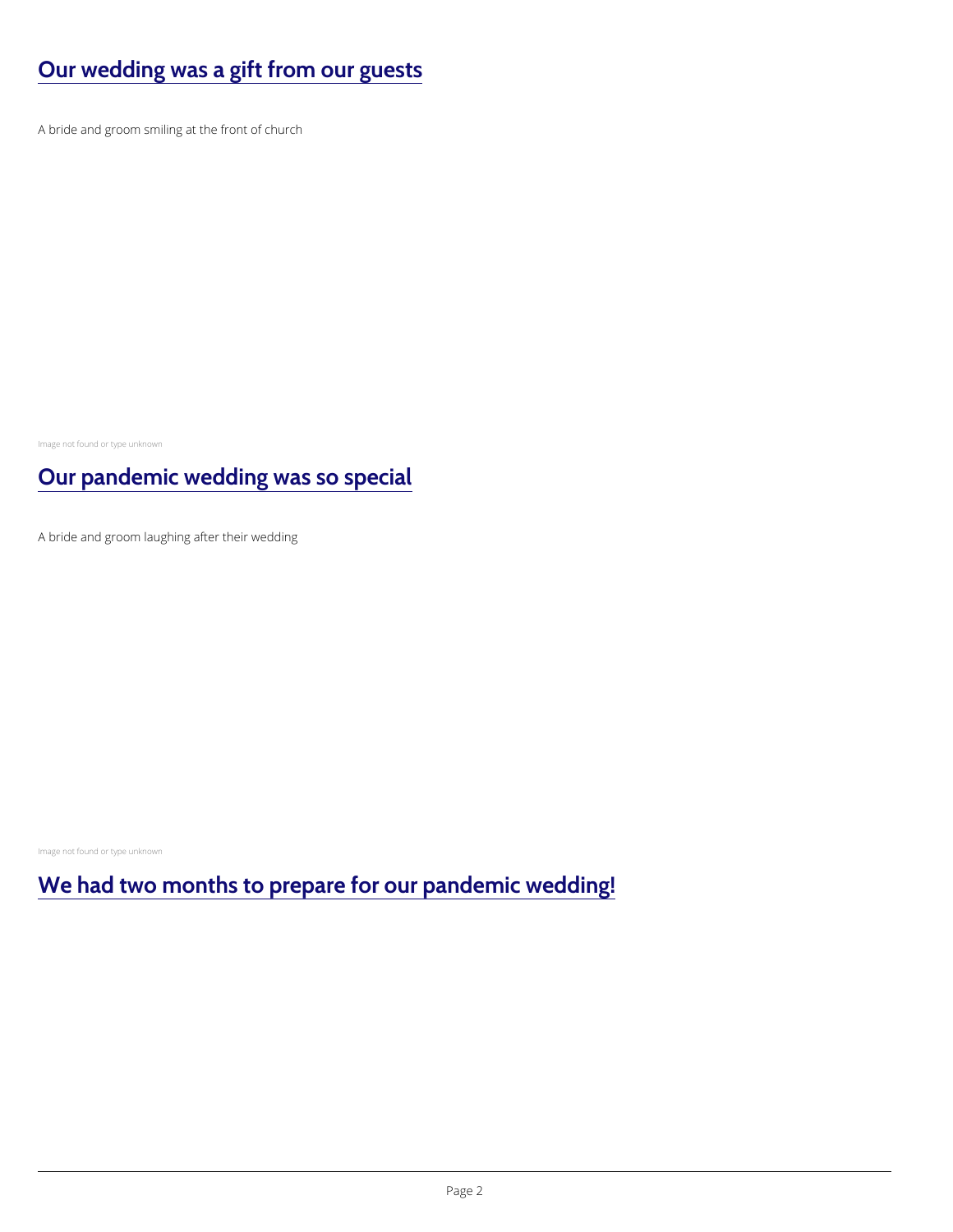# [Our wedding was a gift from our guests](/life-events/your-church-wedding/real-weddings/our-wedding-was-gift-our-guests)

A bride and groom smiling at the front of church

Image not found or type unknown

#### [Our pandemic wedding was so special](/life-events/your-church-wedding/real-weddings/our-pandemic-wedding-was-so-special)

A bride and groom laughing after their wedding

Image not found or type unknown

[We had two months to prepare for our pandemic weddin](/life-events/your-church-wedding/real-weddings/we-had-two-months-prepare-our-pandemic-wedding)g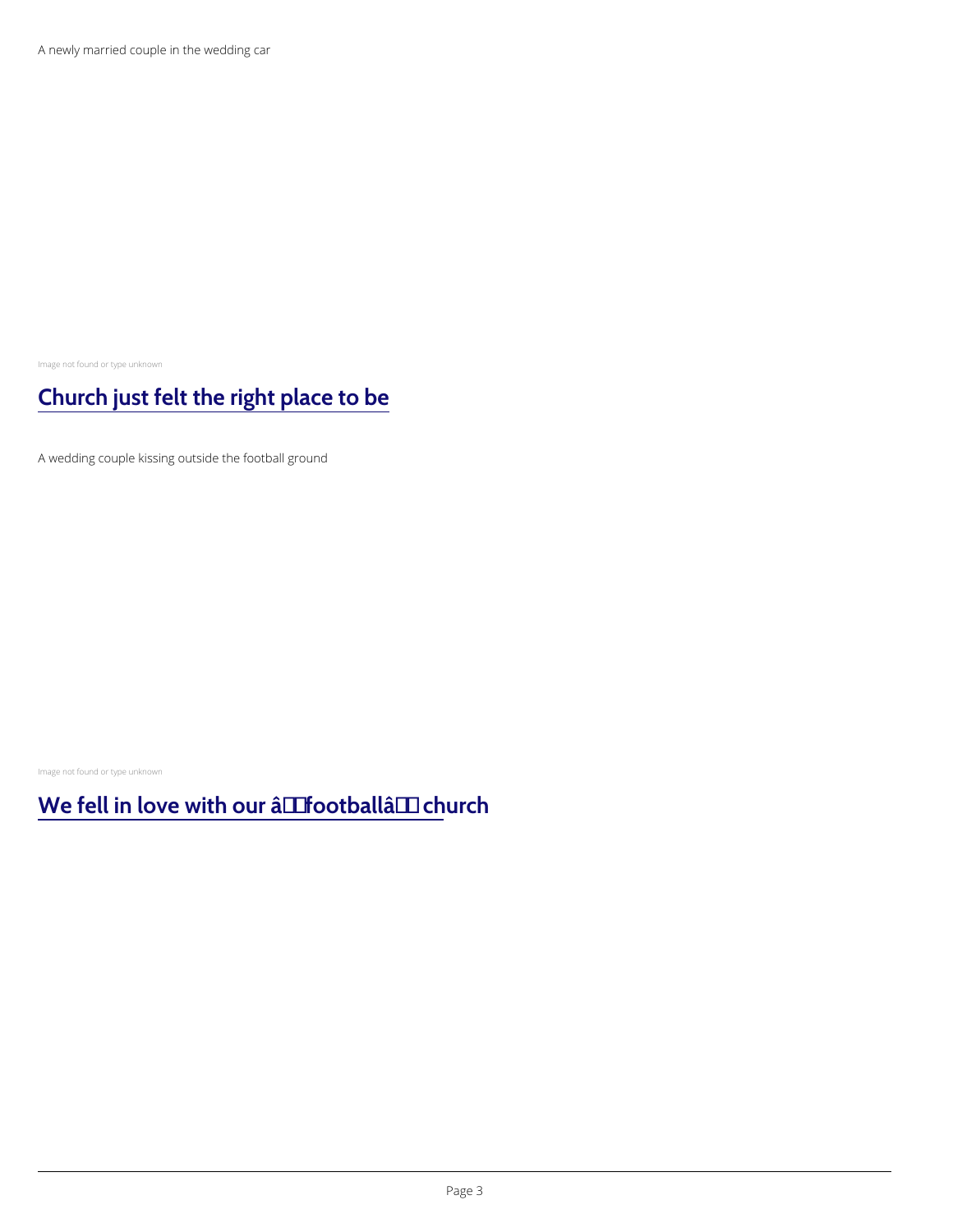A newly married couple in the wedding car

Image not found or type unknown

### [Church just felt the right place to be](/life-events/your-church-wedding/real-weddings/church-just-felt-right-place-be)

A wedding couple kissing outside the football ground

Image not found or type unknown

We fell in love with our  $\hat{a} \in \tilde{b}$  football $\hat{a} \in \tilde{b}$  church